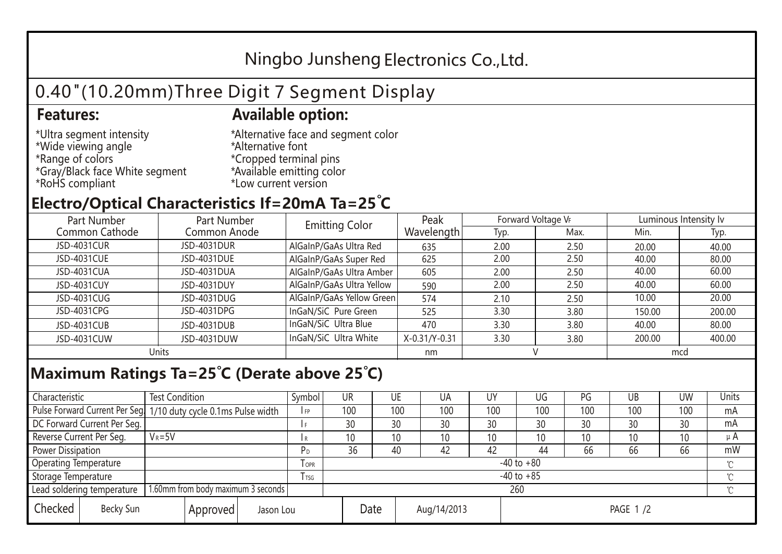## Ningbo Junsheng Electronics Co.,Ltd.

# 0.40"(10.20mm)Three Digit 7 Segment Display

#### **Features: Available option:**

- \*Ultra segment intensity \*Wide viewing angle \*Range of colors \*Gray/Black face White segment \*RoHS compliant
- \*Alternative face and segment color \*Alternative font \*Cropped terminal pins \*Available emitting color \*Low current version

### **Electro/Optical Characteristics If=20mA Ta=25 C**

| Part Number    | Part Number  | <b>Emitting Color</b>     | Peak          | Forward Voltage VF |      | Luminous Intensity lv |        |  |
|----------------|--------------|---------------------------|---------------|--------------------|------|-----------------------|--------|--|
| Common Cathode | Common Anode |                           | Wavelength    | Typ.               | Max. | Min.                  | Typ.   |  |
| JSD-4031CUR    | JSD-4031DUR  | AlGaInP/GaAs Ultra Red    | 635           | 2.00               | 2.50 | 20.00                 | 40.00  |  |
| JSD-4031CUE    | JSD-4031DUE  | AlGaInP/GaAs Super Red    | 625           | 2.00               | 2.50 | 40.00                 | 80.00  |  |
| JSD-4031CUA    | JSD-4031DUA  | AlGaInP/GaAs Ultra Amber  | 605           | 2.00               | 2.50 | 40.00                 | 60.00  |  |
| JSD-4031CUY    | JSD-4031DUY  | AlGaInP/GaAs Ultra Yellow | 590           | 2.00               | 2.50 | 40.00                 | 60.00  |  |
| JSD-4031CUG    | JSD-4031DUG  | AlGaInP/GaAs Yellow Green | 574           | 2.10               | 2.50 | 10.00                 | 20.00  |  |
| JSD-4031CPG    | JSD-4031DPG  | InGaN/SiC Pure Green      | 525           | 3.30               | 3.80 | 150.00                | 200.00 |  |
| JSD-4031CUB    | JSD-4031DUB  | InGaN/SiC Ultra Blue      | 470           | 3.30               | 3.80 | 40.00                 | 80.00  |  |
| JSD-4031CUW    | JSD-4031DUW  | InGaN/SiC Ultra White     | X-0.31/Y-0.31 | 3.30               | 3.80 | 200.00                | 400.00 |  |
| Units          |              |                           | nm            |                    |      | mcd                   |        |  |

#### **Maximum Ratings Ta=25°C (Derate above 25°C)**

| Characteristic                                |            | <b>Test Condition</b><br>Symbol                                  |                     |                | <b>UR</b>       |                 | UE       | UA  | UY  | UG  | PG  | UB              | <b>UW</b> | <b>Units</b> |  |
|-----------------------------------------------|------------|------------------------------------------------------------------|---------------------|----------------|-----------------|-----------------|----------|-----|-----|-----|-----|-----------------|-----------|--------------|--|
|                                               |            | Pulse Forward Current Per Seg. 1/10 duty cycle 0.1ms Pulse width |                     |                | 100             |                 | 100      | 100 | 100 | 100 | 100 | 100             | 100       | mA           |  |
| DC Forward Current Per Seg.                   |            |                                                                  |                     |                | 30              |                 | 30       | 30  | 30  | 30  | 30  | 30              | 30        | mA           |  |
| Reverse Current Per Seg.                      | $V_R = 5V$ |                                                                  |                     | R              | 10 <sup>°</sup> |                 | 10       | 10  | 10  | 10  | 10  | 10 <sup>°</sup> | 10        | $\mu$ A      |  |
| <b>Power Dissipation</b>                      |            |                                                                  |                     |                | 36              |                 | 40       | 42  | 42  | 44  | 66  | 66              | 66        | mW           |  |
| <b>Operating Temperature</b>                  |            |                                                                  | <b>OPR</b>          | $-40$ to $+80$ |                 |                 |          |     |     |     |     |                 | $\sim$    |              |  |
| Storage Temperature                           |            | l tsg                                                            | $-40$ to $+85$      |                |                 |                 |          |     |     |     |     | $\gamma$        |           |              |  |
| Lead soldering temperature                    |            | 1.60mm from body maximum 3 seconds                               |                     |                |                 | 260<br>$\gamma$ |          |     |     |     |     |                 |           |              |  |
| Checked<br>Becky Sun<br>Approved<br>Jason Lou |            |                                                                  | Date<br>Aug/14/2013 |                |                 |                 | PAGE 1/2 |     |     |     |     |                 |           |              |  |